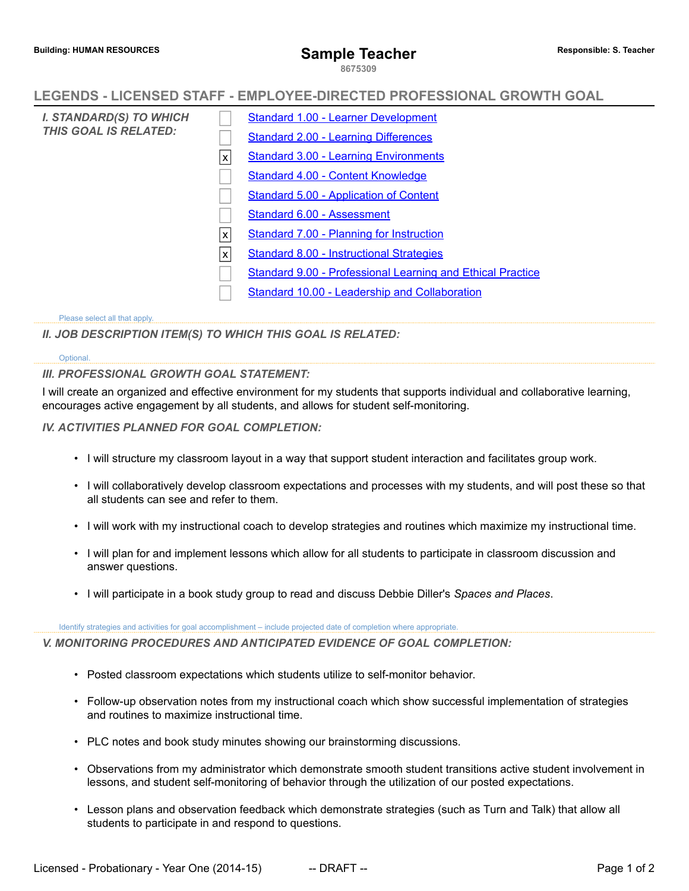**8675309**

# **LEGENDS - LICENSED STAFF - EMPLOYEE-DIRECTED PROFESSIONAL GROWTH GOAL**

*I. STANDARD(S) TO WHICH THIS GOAL IS RELATED:* [Standard 1.00 - Learner Development](http://www.salkeiz.k12.or.us/sites/default/files/salkeiz/LEGENDS_Licensed_1415-Standard_01.pdf) [Standard 2.00 - Learning Differences](http://www.salkeiz.k12.or.us/sites/default/files/salkeiz/LEGENDS_Licensed_1415-Standard_02.pdf) x [Standard 3.00 - Learning Environments](http://www.salkeiz.k12.or.us/sites/default/files/salkeiz/LEGENDS_Licensed_1415-Standard_03.pdf) [Standard 4.00 - Content Knowledge](http://www.salkeiz.k12.or.us/sites/default/files/salkeiz/LEGENDS_Licensed_1415-Standard_04.pdf) [Standard 5.00 - Application of Content](http://www.salkeiz.k12.or.us/sites/default/files/salkeiz/LEGENDS_Licensed_1415-Standard_05.pdf) [Standard 6.00 - Assessment](http://www.salkeiz.k12.or.us/sites/default/files/salkeiz/LEGENDS_Licensed_1415-Standard_06.pdf) [Standard 7.00 - Planning for Instruction](http://www.salkeiz.k12.or.us/sites/default/files/salkeiz/LEGENDS_Licensed_1415-Standard_07.pdf) [Standard 8.00 - Instructional Strategies](http://www.salkeiz.k12.or.us/sites/default/files/salkeiz/LEGENDS_Licensed_1415-Standard_08.pdf) [Standard 9.00 - Professional Learning and Ethical Practice](http://www.salkeiz.k12.or.us/sites/default/files/salkeiz/LEGENDS_Licensed_1415-Standard_09.pdf) [Standard 10.00 - Leadership and Collaboration](http://www.salkeiz.k12.or.us/sites/default/files/salkeiz/LEGENDS_Licensed_1415-Standard_10.pdf)

### Please select all that apply.

*II. JOB DESCRIPTION ITEM(S) TO WHICH THIS GOAL IS RELATED:*

### Optional.

### *III. PROFESSIONAL GROWTH GOAL STATEMENT:*

I will create an organized and effective environment for my students that supports individual and collaborative learning, encourages active engagement by all students, and allows for student self-monitoring.

## *IV. ACTIVITIES PLANNED FOR GOAL COMPLETION:*

- I will structure my classroom layout in a way that support student interaction and facilitates group work.
- I will collaboratively develop classroom expectations and processes with my students, and will post these so that all students can see and refer to them.
- I will work with my instructional coach to develop strategies and routines which maximize my instructional time.
- I will plan for and implement lessons which allow for all students to participate in classroom discussion and answer questions.
- I will participate in a book study group to read and discuss Debbie Diller's *Spaces and Places*.

### Identify strategies and activities for goal accomplishment – include projected date of completion where appropriate.

*V. MONITORING PROCEDURES AND ANTICIPATED EVIDENCE OF GOAL COMPLETION:*

- Posted classroom expectations which students utilize to self-monitor behavior.
- Follow-up observation notes from my instructional coach which show successful implementation of strategies and routines to maximize instructional time.
- PLC notes and book study minutes showing our brainstorming discussions.
- Observations from my administrator which demonstrate smooth student transitions active student involvement in lessons, and student self-monitoring of behavior through the utilization of our posted expectations.
- Lesson plans and observation feedback which demonstrate strategies (such as Turn and Talk) that allow all students to participate in and respond to questions.